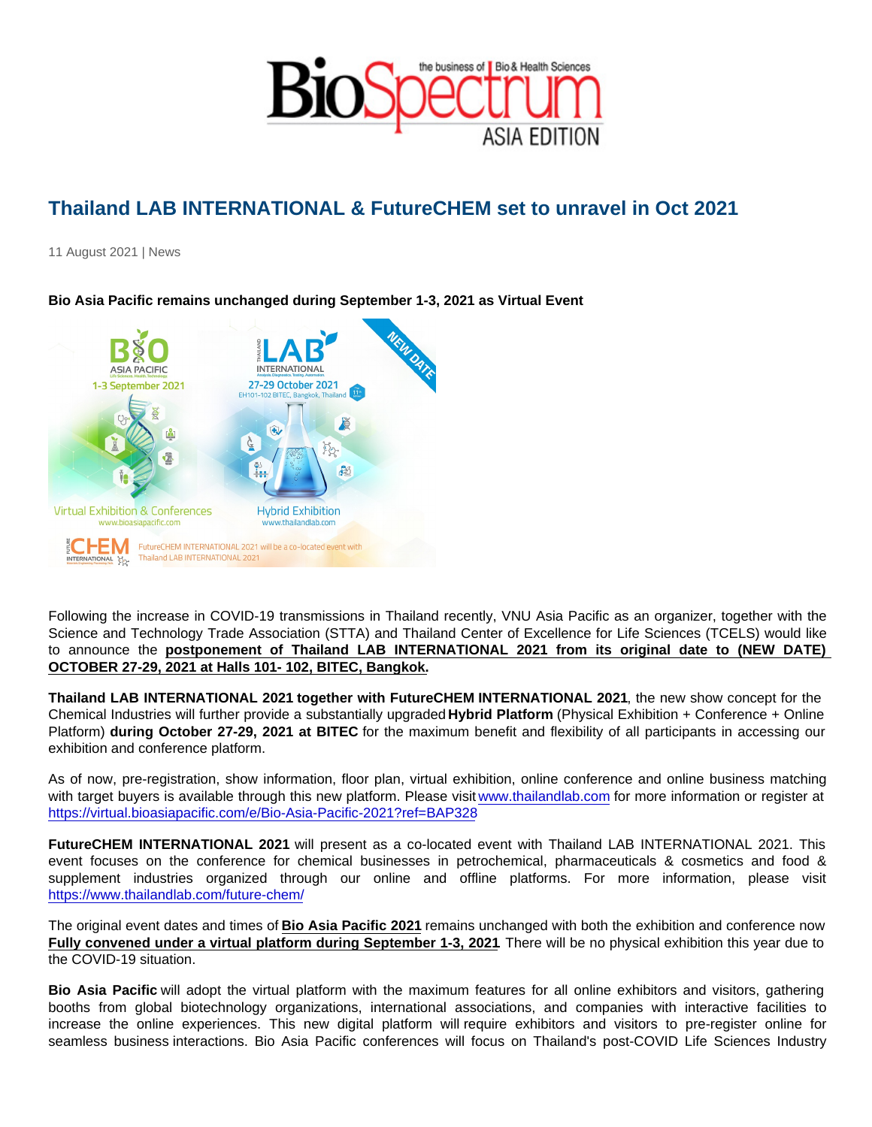## Thailand LAB INTERNATIONAL & FutureCHEM set to unravel in Oct 2021

11 August 2021 | News

Bio Asia Pacific remains unchanged during September 1-3, 2021 as Virtual Event

Following the increase in COVID-19 transmissions in Thailand recently, VNU Asia Pacific as an organizer, together with the Science and Technology Trade Association (STTA) and Thailand Center of Excellence for Life Sciences (TCELS) would like to announce the postponement of Thailand LAB INTERNATIONAL 2021 from its original date to (NEW DATE) OCTOBER 27-29, 2021 at Halls 101- 102, BITEC, Bangkok.

Thailand LAB INTERNATIONAL 2021 together with FutureCHEM INTERNATIONAL 2021, the new show concept for the Chemical Industries will further provide a substantially upgraded Hybrid Platform (Physical Exhibition + Conference + Online Platform) during October 27-29, 2021 at BITEC for the maximum benefit and flexibility of all participants in accessing our exhibition and conference platform.

As of now, pre-registration, show information, floor plan, virtual exhibition, online conference and online business matching with target buyers is available through this new platform. Please visit [www.thailandlab.com](http://www.thailandlab.com) for more information or register at <https://virtual.bioasiapacific.com/e/Bio-Asia-Pacific-2021?ref=BAP328>

FutureCHEM INTERNATIONAL 2021 will present as a co-located event with Thailand LAB INTERNATIONAL 2021. This event focuses on the conference for chemical businesses in petrochemical, pharmaceuticals & cosmetics and food & supplement industries organized through our online and offline platforms. For more information, please visit <https://www.thailandlab.com/future-chem/>

The original event dates and times of Bio Asia Pacific 2021 remains unchanged with both the exhibition and conference now Fully convened under a virtual platform during September 1-3, 2021 . There will be no physical exhibition this year due to the COVID-19 situation.

Bio Asia Pacific will adopt the virtual platform with the maximum features for all online exhibitors and visitors, gathering booths from global biotechnology organizations, international associations, and companies with interactive facilities to increase the online experiences. This new digital platform will require exhibitors and visitors to pre-register online for seamless business interactions. Bio Asia Pacific conferences will focus on Thailand's post-COVID Life Sciences Industry